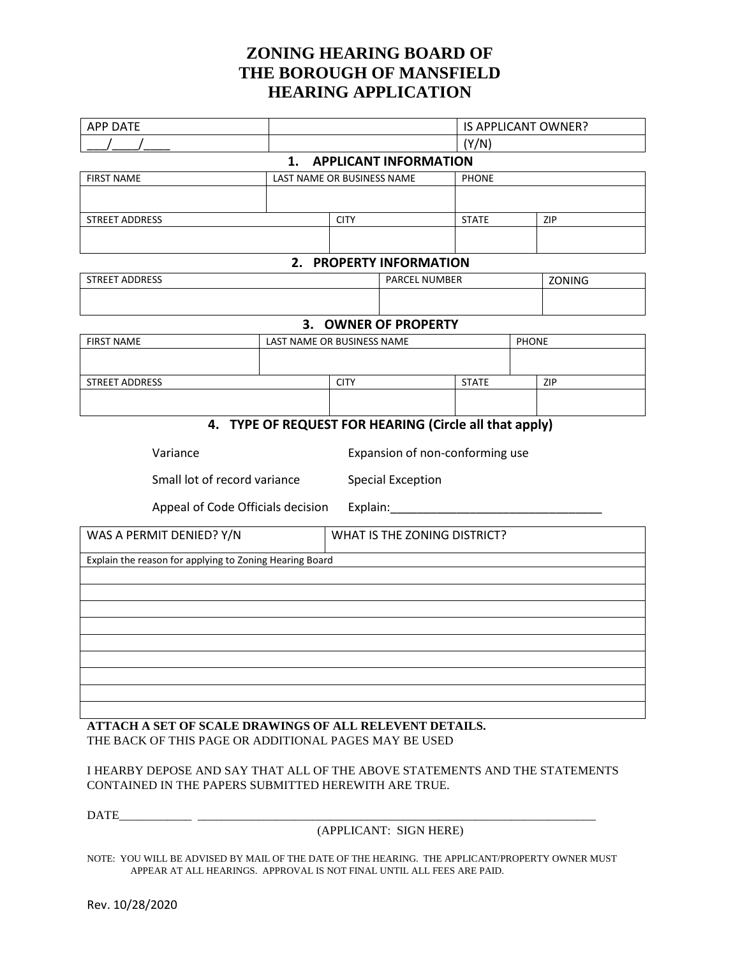## **ZONING HEARING BOARD OF THE BOROUGH OF MANSFIELD HEARING APPLICATION**

| <b>APP DATE</b>                                         |                            |                                 |                                                        | IS APPLICANT OWNER? |  |        |  |  |  |  |  |  |
|---------------------------------------------------------|----------------------------|---------------------------------|--------------------------------------------------------|---------------------|--|--------|--|--|--|--|--|--|
|                                                         |                            |                                 |                                                        | (Y/N)               |  |        |  |  |  |  |  |  |
|                                                         | 1.                         |                                 | <b>APPLICANT INFORMATION</b>                           |                     |  |        |  |  |  |  |  |  |
| <b>FIRST NAME</b>                                       | LAST NAME OR BUSINESS NAME |                                 |                                                        | <b>PHONE</b>        |  |        |  |  |  |  |  |  |
|                                                         |                            |                                 |                                                        |                     |  |        |  |  |  |  |  |  |
| STREET ADDRESS                                          |                            | <b>CITY</b>                     |                                                        | <b>STATE</b>        |  | ZIP    |  |  |  |  |  |  |
|                                                         |                            |                                 |                                                        |                     |  |        |  |  |  |  |  |  |
|                                                         | 2.                         |                                 | <b>PROPERTY INFORMATION</b>                            |                     |  |        |  |  |  |  |  |  |
| <b>STREET ADDRESS</b>                                   |                            |                                 | PARCEL NUMBER                                          |                     |  | ZONING |  |  |  |  |  |  |
|                                                         |                            |                                 |                                                        |                     |  |        |  |  |  |  |  |  |
|                                                         |                            |                                 | 3. OWNER OF PROPERTY                                   |                     |  |        |  |  |  |  |  |  |
| <b>FIRST NAME</b>                                       |                            | <b>PHONE</b>                    |                                                        |                     |  |        |  |  |  |  |  |  |
|                                                         |                            |                                 |                                                        |                     |  |        |  |  |  |  |  |  |
| <b>STREET ADDRESS</b>                                   |                            | <b>CITY</b>                     |                                                        | <b>STATE</b>        |  | ZIP    |  |  |  |  |  |  |
|                                                         |                            |                                 |                                                        |                     |  |        |  |  |  |  |  |  |
|                                                         |                            |                                 | 4. TYPE OF REQUEST FOR HEARING (Circle all that apply) |                     |  |        |  |  |  |  |  |  |
|                                                         |                            |                                 |                                                        |                     |  |        |  |  |  |  |  |  |
| Variance                                                |                            | Expansion of non-conforming use |                                                        |                     |  |        |  |  |  |  |  |  |
| Small lot of record variance                            |                            | <b>Special Exception</b>        |                                                        |                     |  |        |  |  |  |  |  |  |
| Appeal of Code Officials decision                       |                            |                                 | Explain:                                               |                     |  |        |  |  |  |  |  |  |
| WAS A PERMIT DENIED? Y/N                                |                            | WHAT IS THE ZONING DISTRICT?    |                                                        |                     |  |        |  |  |  |  |  |  |
| Explain the reason for applying to Zoning Hearing Board |                            |                                 |                                                        |                     |  |        |  |  |  |  |  |  |
|                                                         |                            |                                 |                                                        |                     |  |        |  |  |  |  |  |  |
|                                                         |                            |                                 |                                                        |                     |  |        |  |  |  |  |  |  |
|                                                         |                            |                                 |                                                        |                     |  |        |  |  |  |  |  |  |
|                                                         |                            |                                 |                                                        |                     |  |        |  |  |  |  |  |  |
|                                                         |                            |                                 |                                                        |                     |  |        |  |  |  |  |  |  |
|                                                         |                            |                                 |                                                        |                     |  |        |  |  |  |  |  |  |
|                                                         |                            |                                 |                                                        |                     |  |        |  |  |  |  |  |  |
|                                                         |                            |                                 |                                                        |                     |  |        |  |  |  |  |  |  |

**ATTACH A SET OF SCALE DRAWINGS OF ALL RELEVENT DETAILS.** THE BACK OF THIS PAGE OR ADDITIONAL PAGES MAY BE USED

I HEARBY DEPOSE AND SAY THAT ALL OF THE ABOVE STATEMENTS AND THE STATEMENTS CONTAINED IN THE PAPERS SUBMITTED HEREWITH ARE TRUE.

DATE\_\_\_\_\_\_\_\_\_\_\_\_ \_\_\_\_\_\_\_\_\_\_\_\_\_\_\_\_\_\_\_\_\_\_\_\_\_\_\_\_\_\_\_\_\_\_\_\_\_\_\_\_\_\_\_\_\_\_\_\_\_\_\_\_\_\_\_\_\_\_\_\_\_\_\_\_\_\_

(APPLICANT: SIGN HERE)

NOTE: YOU WILL BE ADVISED BY MAIL OF THE DATE OF THE HEARING. THE APPLICANT/PROPERTY OWNER MUST APPEAR AT ALL HEARINGS. APPROVAL IS NOT FINAL UNTIL ALL FEES ARE PAID.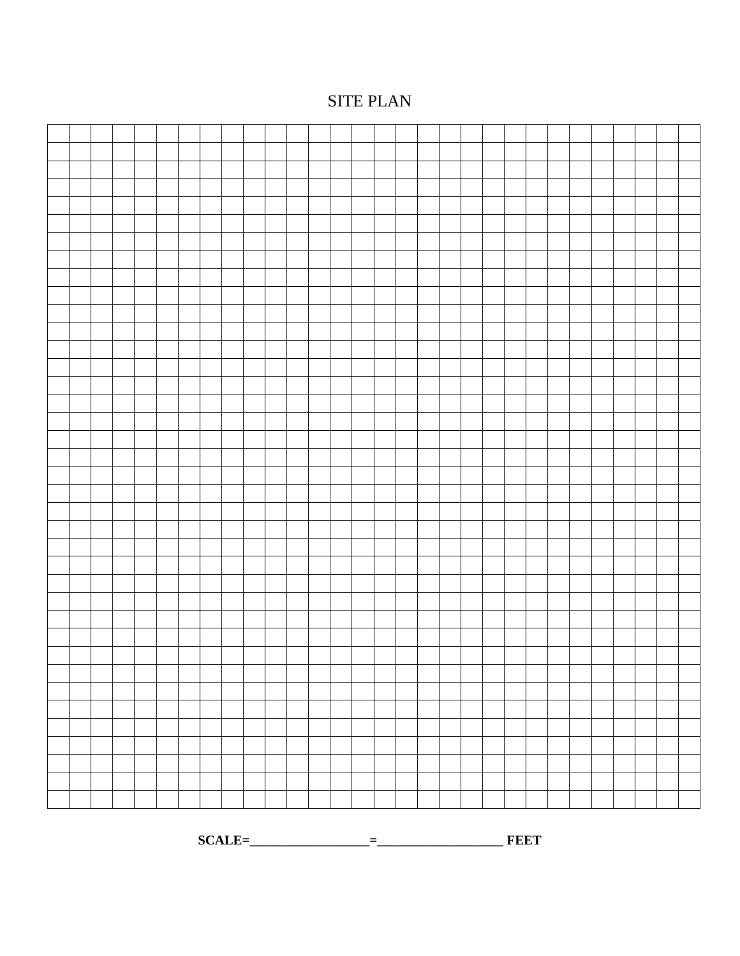## SITE PLAN

**SCALE=\_\_\_\_\_\_\_\_\_\_\_\_\_\_\_\_\_\_=\_\_\_\_\_\_\_\_\_\_\_\_\_\_\_\_\_\_\_ FEET**